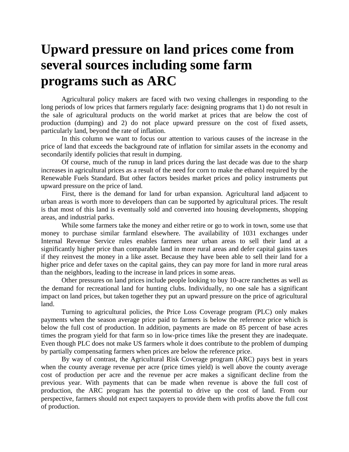## **Upward pressure on land prices come from several sources including some farm programs such as ARC**

Agricultural policy makers are faced with two vexing challenges in responding to the long periods of low prices that farmers regularly face: designing programs that 1) do not result in the sale of agricultural products on the world market at prices that are below the cost of production (dumping) and 2) do not place upward pressure on the cost of fixed assets, particularly land, beyond the rate of inflation.

In this column we want to focus our attention to various causes of the increase in the price of land that exceeds the background rate of inflation for similar assets in the economy and secondarily identify policies that result in dumping.

Of course, much of the runup in land prices during the last decade was due to the sharp increases in agricultural prices as a result of the need for corn to make the ethanol required by the Renewable Fuels Standard. But other factors besides market prices and policy instruments put upward pressure on the price of land.

First, there is the demand for land for urban expansion. Agricultural land adjacent to urban areas is worth more to developers than can be supported by agricultural prices. The result is that most of this land is eventually sold and converted into housing developments, shopping areas, and industrial parks.

While some farmers take the money and either retire or go to work in town, some use that money to purchase similar farmland elsewhere. The availability of 1031 exchanges under Internal Revenue Service rules enables farmers near urban areas to sell their land at a significantly higher price than comparable land in more rural areas and defer capital gains taxes if they reinvest the money in a like asset. Because they have been able to sell their land for a higher price and defer taxes on the capital gains, they can pay more for land in more rural areas than the neighbors, leading to the increase in land prices in some areas.

Other pressures on land prices include people looking to buy 10-acre ranchettes as well as the demand for recreational land for hunting clubs. Individually, no one sale has a significant impact on land prices, but taken together they put an upward pressure on the price of agricultural land.

Turning to agricultural policies, the Price Loss Coverage program (PLC) only makes payments when the season average price paid to farmers is below the reference price which is below the full cost of production. In addition, payments are made on 85 percent of base acres times the program yield for that farm so in low-price times like the present they are inadequate. Even though PLC does not make US farmers whole it does contribute to the problem of dumping by partially compensating farmers when prices are below the reference price.

By way of contrast, the Agricultural Risk Coverage program (ARC) pays best in years when the county average revenue per acre (price times yield) is well above the county average cost of production per acre and the revenue per acre makes a significant decline from the previous year. With payments that can be made when revenue is above the full cost of production, the ARC program has the potential to drive up the cost of land. From our perspective, farmers should not expect taxpayers to provide them with profits above the full cost of production.